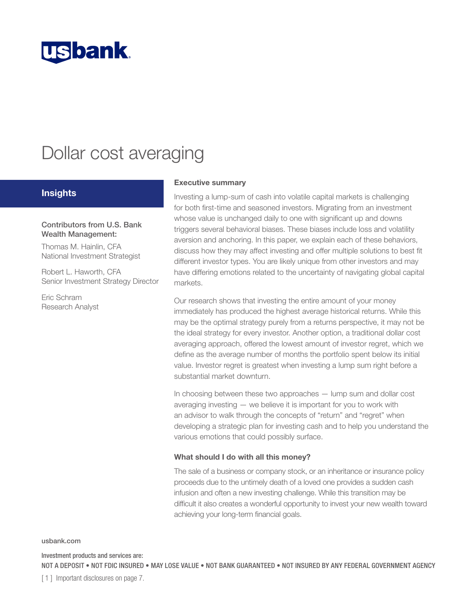

# Dollar cost averaging

# **Insights**

#### Contributors from U.S. Bank Wealth Management:

Thomas M. Hainlin, CFA National Investment Strategist

Robert L. Haworth, CFA Senior Investment Strategy Director

Eric Schram Research Analyst

#### Executive summary

Investing a lump-sum of cash into volatile capital markets is challenging for both first-time and seasoned investors. Migrating from an investment whose value is unchanged daily to one with significant up and downs triggers several behavioral biases. These biases include loss and volatility aversion and anchoring. In this paper, we explain each of these behaviors, discuss how they may affect investing and offer multiple solutions to best fit different investor types. You are likely unique from other investors and may have differing emotions related to the uncertainty of navigating global capital markets.

Our research shows that investing the entire amount of your money immediately has produced the highest average historical returns. While this may be the optimal strategy purely from a returns perspective, it may not be the ideal strategy for every investor. Another option, a traditional dollar cost averaging approach, offered the lowest amount of investor regret, which we define as the average number of months the portfolio spent below its initial value. Investor regret is greatest when investing a lump sum right before a substantial market downturn.

In choosing between these two approaches — lump sum and dollar cost averaging investing — we believe it is important for you to work with an advisor to walk through the concepts of "return" and "regret" when developing a strategic plan for investing cash and to help you understand the various emotions that could possibly surface.

#### What should I do with all this money?

The sale of a business or company stock, or an inheritance or insurance policy proceeds due to the untimely death of a loved one provides a sudden cash infusion and often a new investing challenge. While this transition may be difficult it also creates a wonderful opportunity to invest your new wealth toward achieving your long-term financial goals.

usbank.com

Investment products and services are: NOT A DEPOSIT • NOT FDIC INSURED • MAY LOSE VALUE • NOT BANK GUARANTEED • NOT INSURED BY ANY FEDERAL GOVERNMENT AGENCY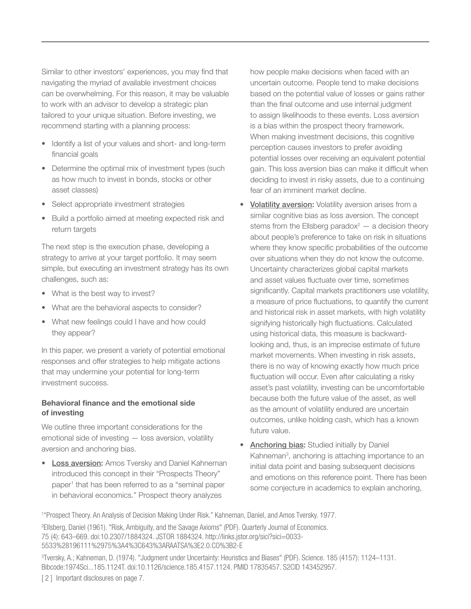Similar to other investors' experiences, you may find that navigating the myriad of available investment choices can be overwhelming. For this reason, it may be valuable to work with an advisor to develop a strategic plan tailored to your unique situation. Before investing, we recommend starting with a planning process:

- Identify a list of your values and short- and long-term financial goals
- Determine the optimal mix of investment types (such as how much to invest in bonds, stocks or other asset classes)
- Select appropriate investment strategies
- Build a portfolio aimed at meeting expected risk and return targets

The next step is the execution phase, developing a strategy to arrive at your target portfolio. It may seem simple, but executing an investment strategy has its own challenges, such as:

- What is the best way to invest?
- What are the behavioral aspects to consider?
- What new feelings could I have and how could they appear?

In this paper, we present a variety of potential emotional responses and offer strategies to help mitigate actions that may undermine your potential for long-term investment success.

## Behavioral finance and the emotional side of investing

We outline three important considerations for the emotional side of investing — loss aversion, volatility aversion and anchoring bias.

**• Loss aversion:** Amos Tversky and Daniel Kahneman introduced this concept in their "Prospects Theory" paper<sup>1</sup> that has been referred to as a "seminal paper in behavioral economics." Prospect theory analyzes

how people make decisions when faced with an uncertain outcome. People tend to make decisions based on the potential value of losses or gains rather than the final outcome and use internal judgment to assign likelihoods to these events. Loss aversion is a bias within the prospect theory framework. When making investment decisions, this cognitive perception causes investors to prefer avoiding potential losses over receiving an equivalent potential gain. This loss aversion bias can make it difficult when deciding to invest in risky assets, due to a continuing fear of an imminent market decline.

- Volatility aversion: Volatility aversion arises from a similar cognitive bias as loss aversion. The concept stems from the Ellsberg paradox $2 - a$  decision theory about people's preference to take on risk in situations where they know specific probabilities of the outcome over situations when they do not know the outcome. Uncertainty characterizes global capital markets and asset values fluctuate over time, sometimes significantly. Capital markets practitioners use volatility, a measure of price fluctuations, to quantify the current and historical risk in asset markets, with high volatility signifying historically high fluctuations. Calculated using historical data, this measure is backwardlooking and, thus, is an imprecise estimate of future market movements. When investing in risk assets, there is no way of knowing exactly how much price fluctuation will occur. Even after calculating a risky asset's past volatility, investing can be uncomfortable because both the future value of the asset, as well as the amount of volatility endured are uncertain outcomes, unlike holding cash, which has a known future value.
- Anchoring bias: Studied initially by Daniel Kahneman<sup>3</sup>, anchoring is attaching importance to an initial data point and basing subsequent decisions and emotions on this reference point. There has been some conjecture in academics to explain anchoring,

1 "Prospect Theory. An Analysis of Decision Making Under Risk." Kahneman, Daniel, and Amos Tversky. 1977.

2 Ellsberg, Daniel (1961). "Risk, Ambiguity, and the Savage Axioms" (PDF). Quarterly Journal of Economics. 75 (4): 643–669. doi:10.2307/1884324. JSTOR 1884324. http://links.jstor.org/sici?sici=0033- 5533%28196111%2975%3A4%3C643%3ARAATSA%3E2.0.CO%3B2-E

3 Tversky, A.; Kahneman, D. (1974). "Judgment under Uncertainty: Heuristics and Biases" (PDF). Science. 185 (4157): 1124–1131. Bibcode:1974Sci...185.1124T. doi:10.1126/science.185.4157.1124. PMID 17835457. S2CID 143452957.

[ 2 ] Important disclosures on page 7.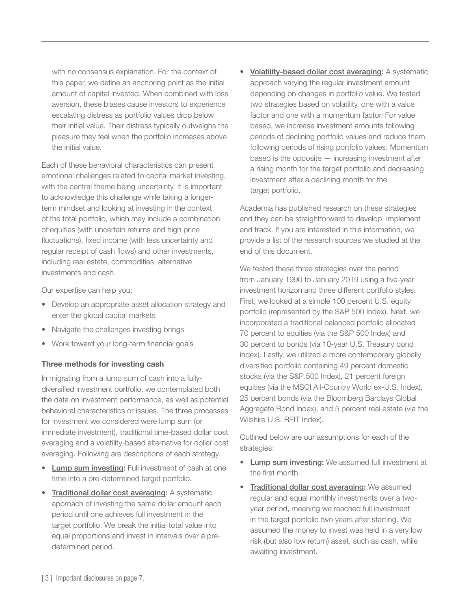with no consensus explanation. For the context of this paper, we define an anchoring point as the initial amount of capital invested. When combined with loss aversion, these biases cause investors to experience escalating distress as portfolio values drop below their initial value. Their distress typically outweighs the pleasure they feel when the portfolio increases above the initial value.

Each of these behavioral characteristics can present emotional challenges related to capital market investing, with the central theme being uncertainty. It is important to acknowledge this challenge while taking a longerterm mindset and looking at investing in the context of the total portfolio, which may include a combination of equities (with uncertain returns and high price fluctuations), fixed income (with less uncertainty and regular receipt of cash flows) and other investments, including real estate, commodities, alternative investments and cash.

Our expertise can help you:

- Develop an appropriate asset allocation strategy and enter the global capital markets
- Navigate the challenges investing brings
- Work toward your long-term financial goals

# Three methods for investing cash

In migrating from a lump sum of cash into a fullydiversified investment portfolio, we contemplated both the data on investment performance, as well as potential behavioral characteristics or issues. The three processes for investment we considered were lump sum (or immediate investment), traditional time-based dollar cost averaging and a volatility-based alternative for dollar cost averaging. Following are descriptions of each strategy.

- Lump sum investing: Full investment of cash at one time into a pre-determined target portfolio.
- Traditional dollar cost averaging: A systematic approach of investing the same dollar amount each period until one achieves full investment in the target portfolio. We break the initial total value into equal proportions and invest in intervals over a predetermined period.

• Volatility-based dollar cost averaging: A systematic approach varying the regular investment amount depending on changes in portfolio value. We tested two strategies based on volatility, one with a value factor and one with a momentum factor. For value based, we increase investment amounts following periods of declining portfolio values and reduce them following periods of rising portfolio values. Momentum based is the opposite — increasing investment after a rising month for the target portfolio and decreasing investment after a declining month for the target portfolio.

Academia has published research on these strategies and they can be straightforward to develop, implement and track. If you are interested in this information, we provide a list of the research sources we studied at the end of this document.

We tested these three strategies over the period from January 1990 to January 2019 using a five-year investment horizon and three different portfolio styles. First, we looked at a simple 100 percent U.S. equity portfolio (represented by the S&P 500 Index). Next, we incorporated a traditional balanced portfolio allocated 70 percent to equities (via the S&P 500 Index) and 30 percent to bonds (via 10-year U.S. Treasury bond index). Lastly, we utilized a more contemporary globally diversified portfolio containing 49 percent domestic stocks (via the S&P 500 Index), 21 percent foreign equities (via the MSCI All-Country World ex-U.S. Index), 25 percent bonds (via the Bloomberg Barclays Global Aggregate Bond Index), and 5 percent real estate (via the Wilshire U.S. REIT Index).

Outlined below are our assumptions for each of the strategies:

- Lump sum investing: We assumed full investment at the first month.
- Traditional dollar cost averaging: We assumed regular and equal monthly investments over a twoyear period, meaning we reached full investment in the target portfolio two years after starting. We assumed the money to invest was held in a very low risk (but also low return) asset, such as cash, while awaiting investment.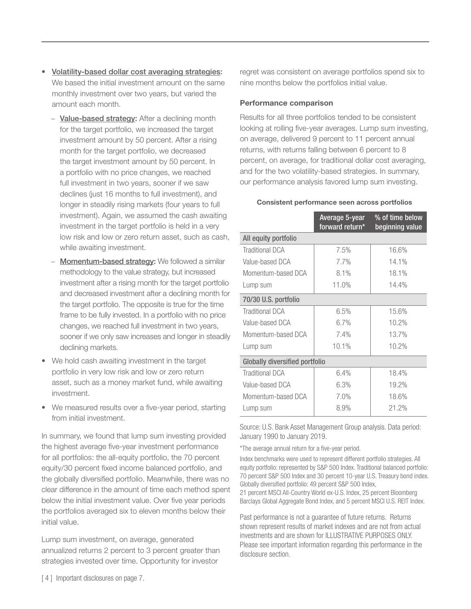- Volatility-based dollar cost averaging strategies: We based the initial investment amount on the same monthly investment over two years, but varied the amount each month.
	- − Value-based strategy: After a declining month for the target portfolio, we increased the target investment amount by 50 percent. After a rising month for the target portfolio, we decreased the target investment amount by 50 percent. In a portfolio with no price changes, we reached full investment in two years, sooner if we saw declines (just 16 months to full investment), and longer in steadily rising markets (four years to full investment). Again, we assumed the cash awaiting investment in the target portfolio is held in a very low risk and low or zero return asset, such as cash, while awaiting investment.
	- − Momentum-based strategy: We followed a similar methodology to the value strategy, but increased investment after a rising month for the target portfolio and decreased investment after a declining month for the target portfolio. The opposite is true for the time frame to be fully invested. In a portfolio with no price changes, we reached full investment in two years, sooner if we only saw increases and longer in steadily declining markets.
- We hold cash awaiting investment in the target portfolio in very low risk and low or zero return asset, such as a money market fund, while awaiting investment.
- We measured results over a five-year period, starting from initial investment.

In summary, we found that lump sum investing provided the highest average five-year investment performance for all portfolios: the all-equity portfolio, the 70 percent equity/30 percent fixed income balanced portfolio, and the globally diversified portfolio. Meanwhile, there was no clear difference in the amount of time each method spent below the initial investment value. Over five year periods the portfolios averaged six to eleven months below their initial value.

Lump sum investment, on average, generated annualized returns 2 percent to 3 percent greater than strategies invested over time. Opportunity for investor

regret was consistent on average portfolios spend six to nine months below the portfolios initial value.

## Performance comparison

Results for all three portfolios tended to be consistent looking at rolling five-year averages. Lump sum investing, on average, delivered 9 percent to 11 percent annual returns, with returns falling between 6 percent to 8 percent, on average, for traditional dollar cost averaging, and for the two volatility-based strategies. In summary, our performance analysis favored lump sum investing.

#### Consistent performance seen across portfolios

|                                       | Average 5-year<br>forward return* | % of time below<br>beginning value |  |  |  |  |
|---------------------------------------|-----------------------------------|------------------------------------|--|--|--|--|
| All equity portfolio                  |                                   |                                    |  |  |  |  |
| Traditional DCA                       | 7.5%                              | 16.6%                              |  |  |  |  |
| Value-based DCA                       | 7.7%                              | 14.1%                              |  |  |  |  |
| Momentum-based DCA                    | 8.1%                              | 18.1%                              |  |  |  |  |
| Lump sum                              | 11.0%                             | 14.4%                              |  |  |  |  |
| 70/30 U.S. portfolio                  |                                   |                                    |  |  |  |  |
| Traditional DCA                       | 6.5%                              | 15.6%                              |  |  |  |  |
| Value-based DCA                       | 6.7%                              | 10.2%                              |  |  |  |  |
| Momentum-based DCA                    | 7.4%                              | 13.7%                              |  |  |  |  |
| Lump sum                              | 10.1%                             | 10.2%                              |  |  |  |  |
| <b>Globally diversified portfolio</b> |                                   |                                    |  |  |  |  |
| <b>Traditional DCA</b>                | 6.4%                              | 18.4%                              |  |  |  |  |
| Value-based DCA                       | 6.3%                              | 19.2%                              |  |  |  |  |
| Momentum-based DCA                    | 7.0%                              | 18.6%                              |  |  |  |  |
| Lump sum                              | 8.9%                              | 21.2%                              |  |  |  |  |

Source: U.S. Bank Asset Management Group analysis. Data period: January 1990 to January 2019.

\*The average annual return for a five-year period.

Index benchmarks were used to represent different portfolio strategies. All equity portfolio: represented by S&P 500 Index. Traditional balanced portfolio: 70 percent S&P 500 Index and 30 percent 10-year U.S. Treasury bond index. Globally diversified portfolio: 49 percent S&P 500 Index, 21 percent MSCI All-Country World ex-U.S. Index, 25 percent Bloomberg Barclays Global Aggregate Bond Index, and 5 percent MSCI U.S. REIT Index.

Past performance is not a guarantee of future returns. Returns shown represent results of market indexes and are not from actual investments and are shown for ILLUSTRATIVE PURPOSES ONLY. Please see important information regarding this performance in the disclosure section.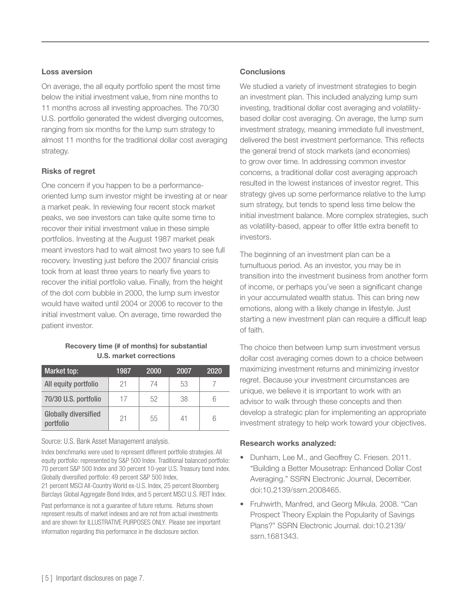## Loss aversion

On average, the all equity portfolio spent the most time below the initial investment value, from nine months to 11 months across all investing approaches. The 70/30 U.S. portfolio generated the widest diverging outcomes, ranging from six months for the lump sum strategy to almost 11 months for the traditional dollar cost averaging strategy.

# Risks of regret

One concern if you happen to be a performanceoriented lump sum investor might be investing at or near a market peak. In reviewing four recent stock market peaks, we see investors can take quite some time to recover their initial investment value in these simple portfolios. Investing at the August 1987 market peak meant investors had to wait almost two years to see full recovery. Investing just before the 2007 financial crisis took from at least three years to nearly five years to recover the initial portfolio value. Finally, from the height of the dot com bubble in 2000, the lump sum investor would have waited until 2004 or 2006 to recover to the initial investment value. On average, time rewarded the patient investor.

### Recovery time (# of months) for substantial U.S. market corrections

| <b>Market top:</b>                       | 1987 | 2000 | 2007 | 2020 |
|------------------------------------------|------|------|------|------|
| All equity portfolio                     | 21   | 74   | 53   |      |
| 70/30 U.S. portfolio                     | 17   | 52   | 38   |      |
| <b>Globally diversified</b><br>portfolio | 21   | 55   | 41   |      |

Source: U.S. Bank Asset Management analysis.

Index benchmarks were used to represent different portfolio strategies. All equity portfolio: represented by S&P 500 Index. Traditional balanced portfolio: 70 percent S&P 500 Index and 30 percent 10-year U.S. Treasury bond index. Globally diversified portfolio: 49 percent S&P 500 Index,

21 percent MSCI All-Country World ex-U.S. Index, 25 percent Bloomberg Barclays Global Aggregate Bond Index, and 5 percent MSCI U.S. REIT Index.

Past performance is not a guarantee of future returns. Returns shown represent results of market indexes and are not from actual investments and are shown for ILLUSTRATIVE PURPOSES ONLY. Please see important information regarding this performance in the disclosure section.

## **Conclusions**

We studied a variety of investment strategies to begin an investment plan. This included analyzing lump sum investing, traditional dollar cost averaging and volatilitybased dollar cost averaging. On average, the lump sum investment strategy, meaning immediate full investment, delivered the best investment performance. This reflects the general trend of stock markets (and economies) to grow over time. In addressing common investor concerns, a traditional dollar cost averaging approach resulted in the lowest instances of investor regret. This strategy gives up some performance relative to the lump sum strategy, but tends to spend less time below the initial investment balance. More complex strategies, such as volatility-based, appear to offer little extra benefit to investors.

The beginning of an investment plan can be a tumultuous period. As an investor, you may be in transition into the investment business from another form of income, or perhaps you've seen a significant change in your accumulated wealth status. This can bring new emotions, along with a likely change in lifestyle. Just starting a new investment plan can require a difficult leap of faith.

The choice then between lump sum investment versus dollar cost averaging comes down to a choice between maximizing investment returns and minimizing investor regret. Because your investment circumstances are unique, we believe it is important to work with an advisor to walk through these concepts and then develop a strategic plan for implementing an appropriate investment strategy to help work toward your objectives.

# Research works analyzed:

- Dunham, Lee M., and Geoffrey C. Friesen. 2011. "Building a Better Mousetrap: Enhanced Dollar Cost Averaging." SSRN Electronic Journal, December. doi:10.2139/ssrn.2008465.
- Fruhwirth, Manfred, and Georg Mikula. 2008. "Can Prospect Theory Explain the Popularity of Savings Plans?" SSRN Electronic Journal. doi:10.2139/ ssrn.1681343.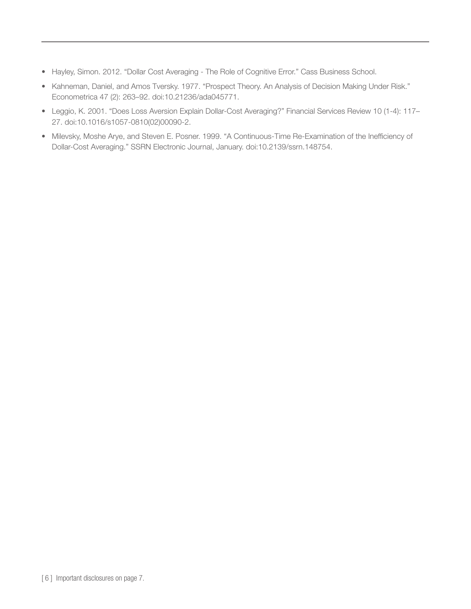- Hayley, Simon. 2012. "Dollar Cost Averaging The Role of Cognitive Error." Cass Business School.
- Kahneman, Daniel, and Amos Tversky. 1977. "Prospect Theory. An Analysis of Decision Making Under Risk." Econometrica 47 (2): 263–92. doi:10.21236/ada045771.
- Leggio, K. 2001. "Does Loss Aversion Explain Dollar-Cost Averaging?" Financial Services Review 10 (1-4): 117– 27. doi:10.1016/s1057-0810(02)00090-2.
- Milevsky, Moshe Arye, and Steven E. Posner. 1999. "A Continuous-Time Re-Examination of the Inefficiency of Dollar-Cost Averaging." SSRN Electronic Journal, January. doi:10.2139/ssrn.148754.